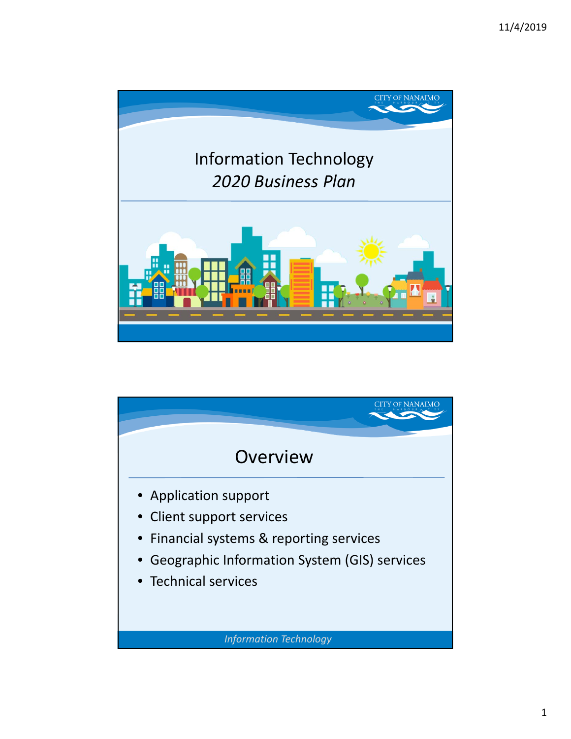

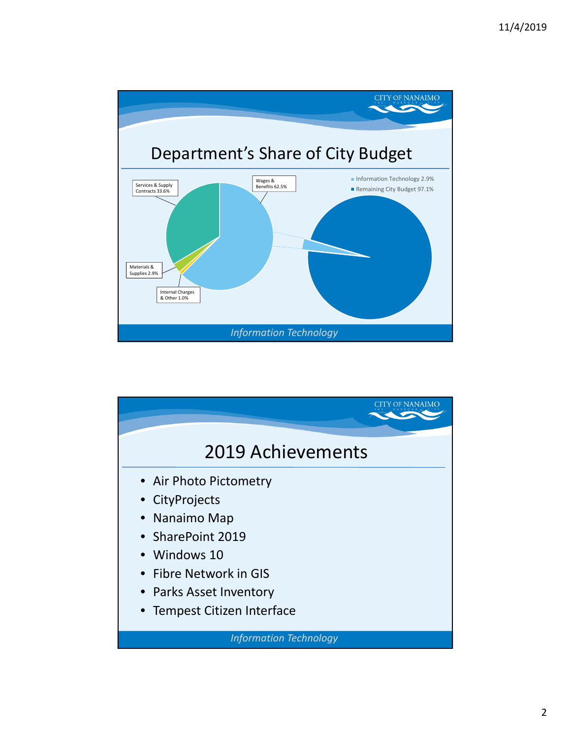

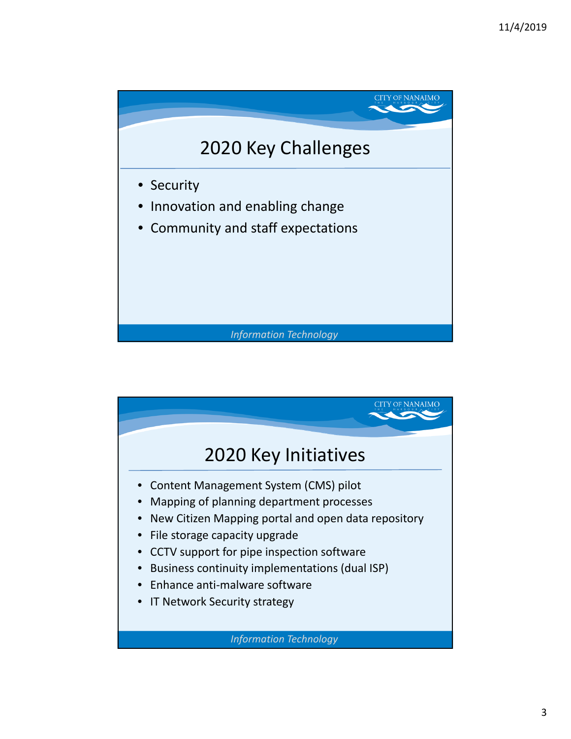

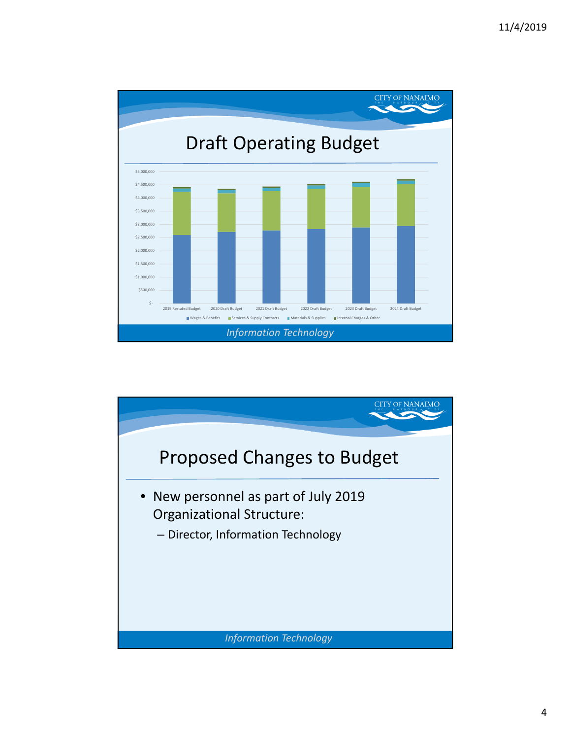